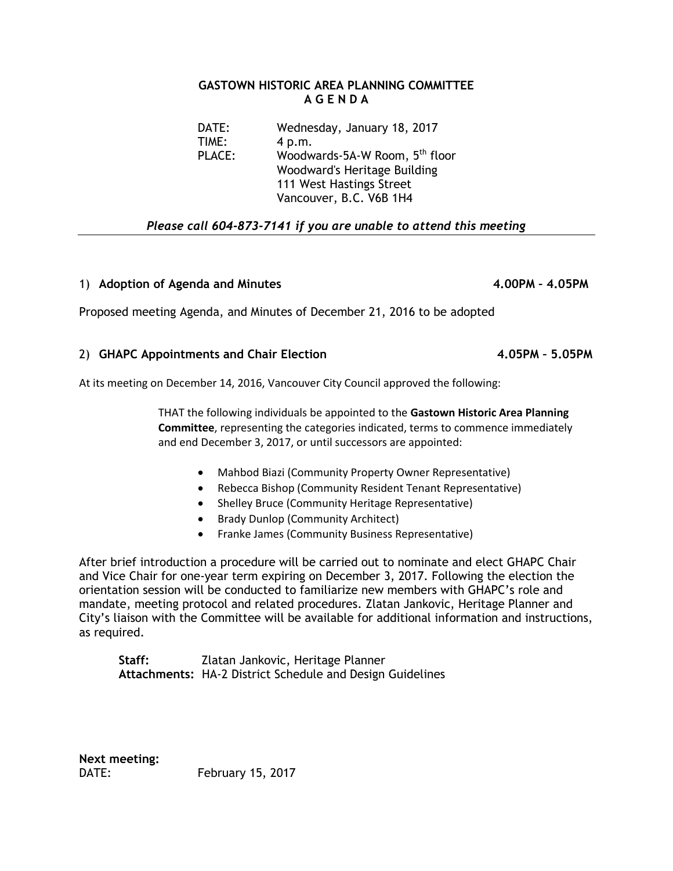## **GASTOWN HISTORIC AREA PLANNING COMMITTEE A G E N D A**

DATE: Wednesday, January 18, 2017 TIME: 4 p.m. PLACE: Woodwards-5A-W Room, 5<sup>th</sup> floor Woodward's Heritage Building 111 West Hastings Street Vancouver, B.C. V6B 1H4

## *Please call 604-873-7141 if you are unable to attend this meeting*

## 1) **Adoption of Agenda and Minutes 4.00PM – 4.05PM**

Proposed meeting Agenda, and Minutes of December 21, 2016 to be adopted

## 2) **GHAPC Appointments and Chair Election 4.05PM – 5.05PM**

At its meeting on December 14, 2016, Vancouver City Council approved the following:

THAT the following individuals be appointed to the **Gastown Historic Area Planning Committee**, representing the categories indicated, terms to commence immediately and end December 3, 2017, or until successors are appointed:

- Mahbod Biazi (Community Property Owner Representative)
- Rebecca Bishop (Community Resident Tenant Representative)
- Shelley Bruce (Community Heritage Representative)
- Brady Dunlop (Community Architect)
- Franke James (Community Business Representative)

After brief introduction a procedure will be carried out to nominate and elect GHAPC Chair and Vice Chair for one-year term expiring on December 3, 2017. Following the election the orientation session will be conducted to familiarize new members with GHAPC's role and mandate, meeting protocol and related procedures. Zlatan Jankovic, Heritage Planner and City's liaison with the Committee will be available for additional information and instructions, as required.

**Staff:** Zlatan Jankovic, Heritage Planner **Attachments:** HA-2 District Schedule and Design Guidelines

**Next meeting:** DATE: February 15, 2017